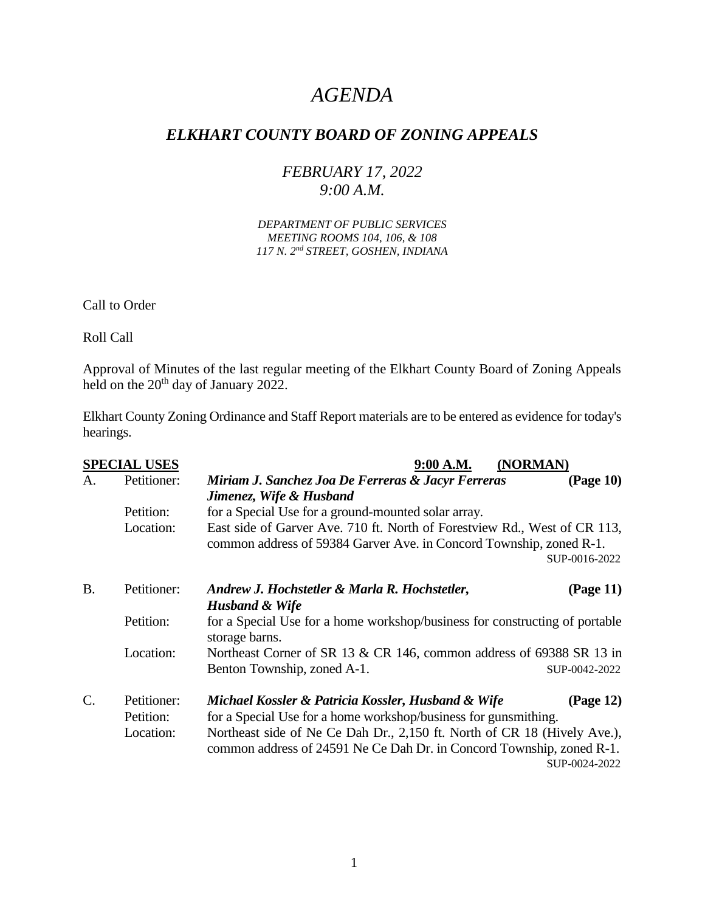# *AGENDA*

# *ELKHART COUNTY BOARD OF ZONING APPEALS*

# *FEBRUARY 17, 2022 9:00 A.M.*

*DEPARTMENT OF PUBLIC SERVICES MEETING ROOMS 104, 106, & 108 117 N. 2nd STREET, GOSHEN, INDIANA*

Call to Order

Roll Call

Approval of Minutes of the last regular meeting of the Elkhart County Board of Zoning Appeals held on the 20<sup>th</sup> day of January 2022.

Elkhart County Zoning Ordinance and Staff Report materials are to be entered as evidence for today's hearings.

| <b>SPECIAL USES</b> |                          | 9:00 A.M.<br>(NORMAN)                                                                                                                                              |  |  |
|---------------------|--------------------------|--------------------------------------------------------------------------------------------------------------------------------------------------------------------|--|--|
| A.                  | Petitioner:              | Miriam J. Sanchez Joa De Ferreras & Jacyr Ferreras<br>(Page 10)                                                                                                    |  |  |
|                     |                          | Jimenez, Wife & Husband                                                                                                                                            |  |  |
|                     | Petition:                | for a Special Use for a ground-mounted solar array.                                                                                                                |  |  |
|                     | Location:                | East side of Garver Ave. 710 ft. North of Forestview Rd., West of CR 113,                                                                                          |  |  |
|                     |                          | common address of 59384 Garver Ave. in Concord Township, zoned R-1.<br>SUP-0016-2022                                                                               |  |  |
| <b>B.</b>           | Petitioner:              | Andrew J. Hochstetler & Marla R. Hochstetler,<br>(Page 11)                                                                                                         |  |  |
|                     |                          | <b>Husband &amp; Wife</b>                                                                                                                                          |  |  |
|                     | Petition:                | for a Special Use for a home workshop/business for constructing of portable<br>storage barns.                                                                      |  |  |
|                     | Location:                | Northeast Corner of SR 13 & CR 146, common address of 69388 SR 13 in                                                                                               |  |  |
|                     |                          | Benton Township, zoned A-1.<br>SUP-0042-2022                                                                                                                       |  |  |
| $\mathcal{C}$ .     | Petitioner:<br>Petition: | (Page 12)<br>Michael Kossler & Patricia Kossler, Husband & Wife<br>for a Special Use for a home workshop/business for gunsmithing.                                 |  |  |
|                     | Location:                | Northeast side of Ne Ce Dah Dr., 2,150 ft. North of CR 18 (Hively Ave.),<br>common address of 24591 Ne Ce Dah Dr. in Concord Township, zoned R-1.<br>SUP-0024-2022 |  |  |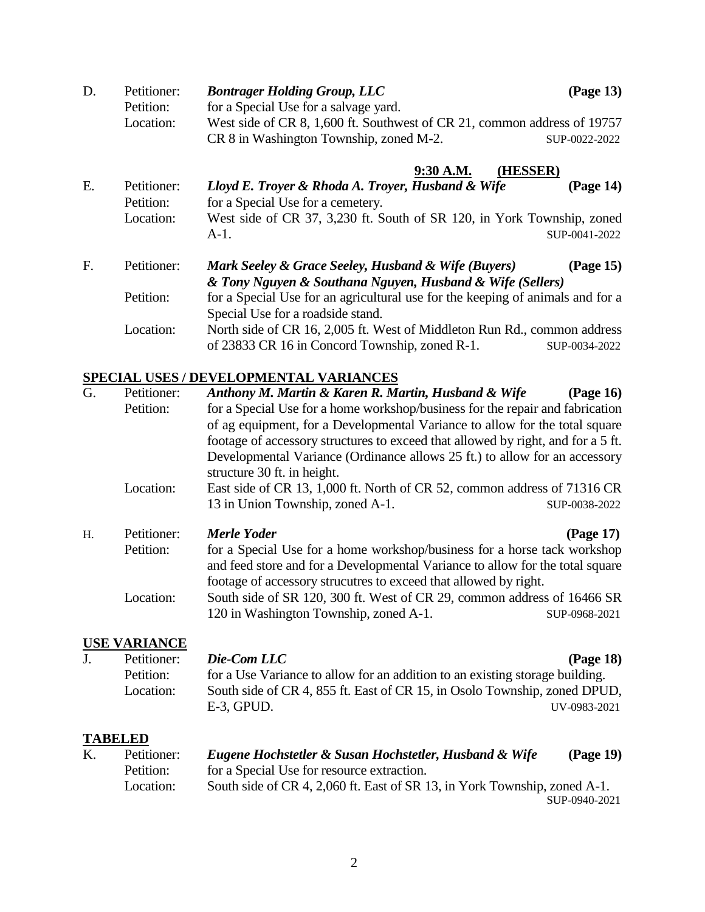| D. | Petitioner: | <b>Bontrager Holding Group, LLC</b>                                      | $\left(Page\ 13\right)$ |
|----|-------------|--------------------------------------------------------------------------|-------------------------|
|    | Petition:   | for a Special Use for a salvage yard.                                    |                         |
|    | Location:   | West side of CR 8, 1,600 ft. Southwest of CR 21, common address of 19757 |                         |
|    |             | CR 8 in Washington Township, zoned M-2.                                  | SUP-0022-2022           |

### **9:30 A.M. (HESSER)**

E. Petitioner: *Lloyd E. Troyer & Rhoda A. Troyer, Husband & Wife* **(Page 14)** Petition: for a Special Use for a cemetery. Location: West side of CR 37, 3,230 ft. South of SR 120, in York Township, zoned A-1. SUP-0041-2022

| F. | Petitioner: | Mark Seeley & Grace Seeley, Husband & Wife (Buyers)                            | $\left(Page\ 15\right)$ |
|----|-------------|--------------------------------------------------------------------------------|-------------------------|
|    |             | & Tony Nguyen & Southana Nguyen, Husband & Wife (Sellers)                      |                         |
|    | Petition:   | for a Special Use for an agricultural use for the keeping of animals and for a |                         |
|    |             | Special Use for a roadside stand.                                              |                         |
|    | Location:   | North side of CR 16, 2,005 ft. West of Middleton Run Rd., common address       |                         |
|    |             | of 23833 CR 16 in Concord Township, zoned R-1.                                 | SUP-0034-2022           |

#### **SPECIAL USES / DEVELOPMENTAL VARIANCES**

| G.             | Petitioner: | Anthony M. Martin & Karen R. Martin, Husband & Wife                                                                                                       | (Page 16)     |
|----------------|-------------|-----------------------------------------------------------------------------------------------------------------------------------------------------------|---------------|
|                | Petition:   | for a Special Use for a home workshop/business for the repair and fabrication                                                                             |               |
|                |             | of ag equipment, for a Developmental Variance to allow for the total square                                                                               |               |
|                |             | footage of accessory structures to exceed that allowed by right, and for a 5 ft.                                                                          |               |
|                |             | Developmental Variance (Ordinance allows 25 ft.) to allow for an accessory                                                                                |               |
|                |             | structure 30 ft. in height.                                                                                                                               |               |
|                | Location:   | East side of CR 13, 1,000 ft. North of CR 52, common address of 71316 CR                                                                                  |               |
|                |             | 13 in Union Township, zoned A-1.                                                                                                                          | SUP-0038-2022 |
| H <sub>1</sub> | Petitioner: | Merle Yoder                                                                                                                                               | (Page 17)     |
|                | Petition:   | for a Special Use for a home workshop/business for a horse tack workshop<br>and feed store and for a Developmental Variance to allow for the total square |               |

footage of accessory strucutres to exceed that allowed by right.

120 in Washington Township, zoned A-1. SUP-0968-2021

Location: South side of SR 120, 300 ft. West of CR 29, common address of 16466 SR

## **USE VARIANCE**

|  | Petitioner: | Die-Com LLC                                                                  | (Page 18)    |
|--|-------------|------------------------------------------------------------------------------|--------------|
|  | Petition:   | for a Use Variance to allow for an addition to an existing storage building. |              |
|  | Location:   | South side of CR 4, 855 ft. East of CR 15, in Osolo Township, zoned DPUD,    |              |
|  |             | $E-3$ , GPUD.                                                                | UV-0983-2021 |

## **TABELED**

K. Petitioner: *Eugene Hochstetler & Susan Hochstetler, Husband & Wife* **(Page 19)** Petition: for a Special Use for resource extraction. Location: South side of CR 4, 2,060 ft. East of SR 13, in York Township, zoned A-1. SUP-0940-2021